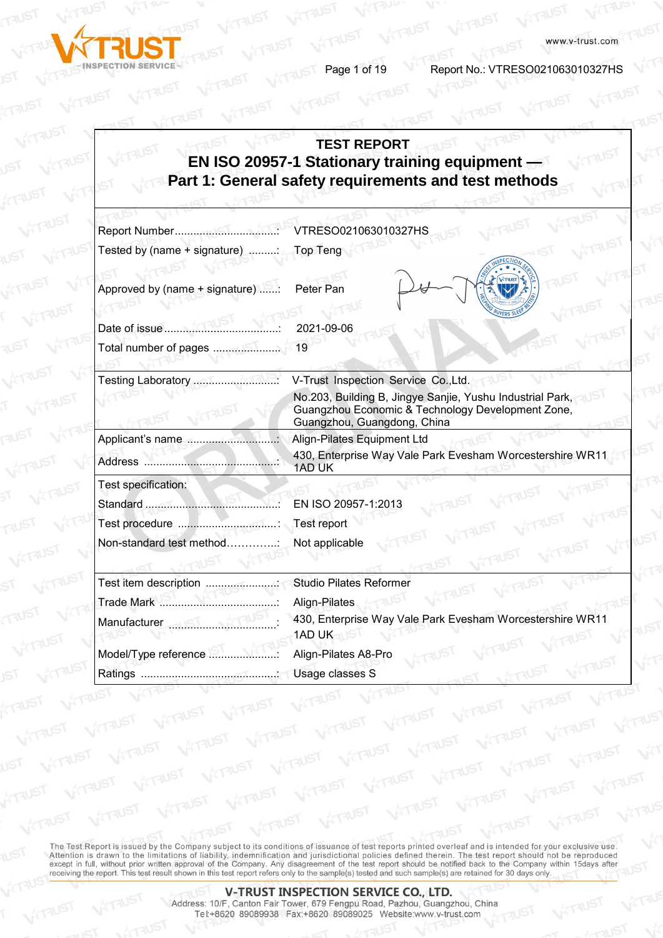

**VITAUST** 

**Page 1 of 19 Report No.: VTRESO021063010327HS** 

## **TEST REPORT EN ISO 20957-1 Stationary training equipment — Part 1: General safety requirements and test methods**

|                                                   | VTRESO021063010327HS                                                                                                                          |
|---------------------------------------------------|-----------------------------------------------------------------------------------------------------------------------------------------------|
| Tested by (name + signature) ;                    | Top Teng                                                                                                                                      |
| Approved by (name + signature) :<br>Date of issue | Peter Pan<br>2021-09-06                                                                                                                       |
|                                                   | 19                                                                                                                                            |
| Testing Laboratory                                | V-Trust Inspection Service Co., Ltd.                                                                                                          |
|                                                   | No.203, Building B, Jingye Sanjie, Yushu Industrial Park,<br>Guangzhou Economic & Technology Development Zone,<br>Guangzhou, Guangdong, China |
|                                                   | Align-Pilates Equipment Ltd                                                                                                                   |
|                                                   | 430, Enterprise Way Vale Park Evesham Worcestershire WR11<br>1AD UK                                                                           |
| Test specification:                               |                                                                                                                                               |
|                                                   | EN ISO 20957-1:2013                                                                                                                           |
| Test procedure                                    | Test report                                                                                                                                   |
| Non-standard test method                          | Not applicable                                                                                                                                |
| Test item description                             | <b>Studio Pilates Reformer</b><br>UST                                                                                                         |
|                                                   | Align-Pilates                                                                                                                                 |
|                                                   | 430, Enterprise Way Vale Park Evesham Worcestershire WR11<br>1AD UK                                                                           |
| Model/Type reference                              | Align-Pilates A8-Pro                                                                                                                          |
|                                                   | Usage classes S                                                                                                                               |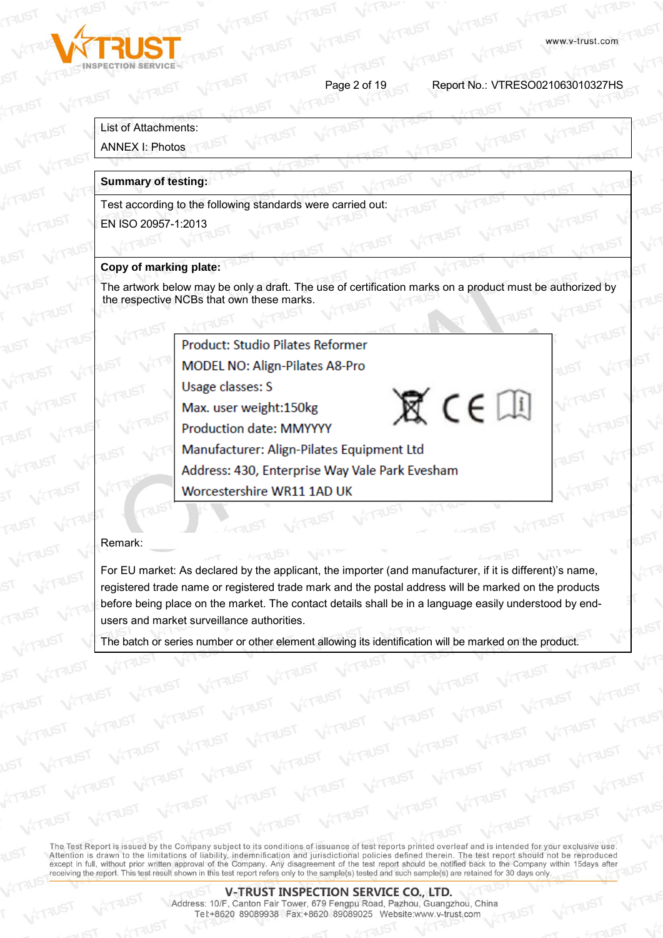

Page 2 of 19 Report No.: VTRESO021063010327HS

 $\mathbb{X}$  CE

### List of Attachments:

#### ANNEX I: Photos

#### **Summary of testing:**

Test according to the following standards were carried out:

EN ISO 20957-1:2013

#### **Copy of marking plate:**

The artwork below may be only a draft. The use of certification marks on a product must be authorized by the respective NCBs that own these marks.

**Product: Studio Pilates Reformer** 

**MODEL NO: Align-Pilates A8-Pro** 

**Usage classes: S** 

Max. user weight:150kg

**Production date: MMYYYY** 

Manufacturer: Align-Pilates Equipment Ltd

Address: 430, Enterprise Way Vale Park Evesham

Worcestershire WR11 1AD UK

#### Remark:

For EU market: As declared by the applicant, the importer (and manufacturer, if it is different)'s name, registered trade name or registered trade mark and the postal address will be marked on the products before being place on the market. The contact details shall be in a language easily understood by endusers and market surveillance authorities.

The batch or series number or other element allowing its identification will be marked on the product.

The Test Report is issued by the Company subject to its conditions of issuance of test reports printed overleaf and is intended for your exclusive use. Attention is drawn to the limitations of liability, indemnification and jurisdictional policies defined therein. The test report should not be reproduced except in full, without prior written approval of the Company. Any d receiving the report. This test result shown in this test report refers only to the sample(s) tested and such sample(s) are retained for 30 days only.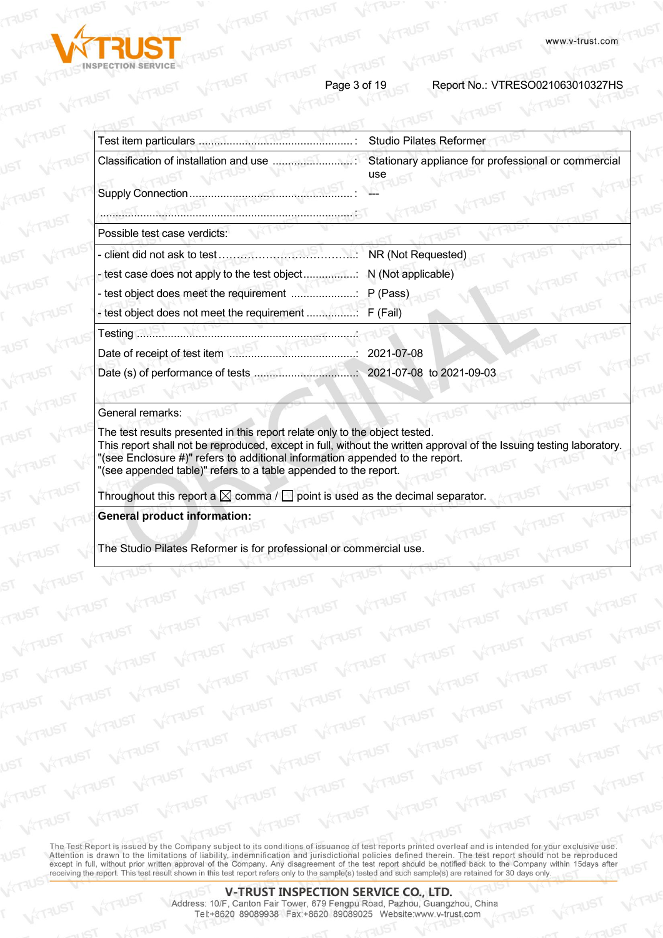

Page 3 of 19 Report No.: VTRESO021063010327HS

|                              | <b>Studio Pilates Reformer</b>                             |
|------------------------------|------------------------------------------------------------|
|                              | Stationary appliance for professional or commercial<br>use |
| Supply Connection            |                                                            |
|                              |                                                            |
| Possible test case verdicts: |                                                            |
|                              | NR (Not Requested)                                         |
|                              |                                                            |
|                              |                                                            |
|                              |                                                            |
|                              |                                                            |
| Date of receipt of test item | 2021-07-08                                                 |
|                              |                                                            |
|                              |                                                            |

#### General remarks:

The test results presented in this report relate only to the object tested. This report shall not be reproduced, except in full, without the written approval of the Issuing testing laboratory. "(see Enclosure #)" refers to additional information appended to the report. "(see appended table)" refers to a table appended to the report.

Throughout this report a  $\boxtimes$  comma /  $\Box$  point is used as the decimal separator.

**General product information:** 

The Studio Pilates Reformer is for professional or commercial use.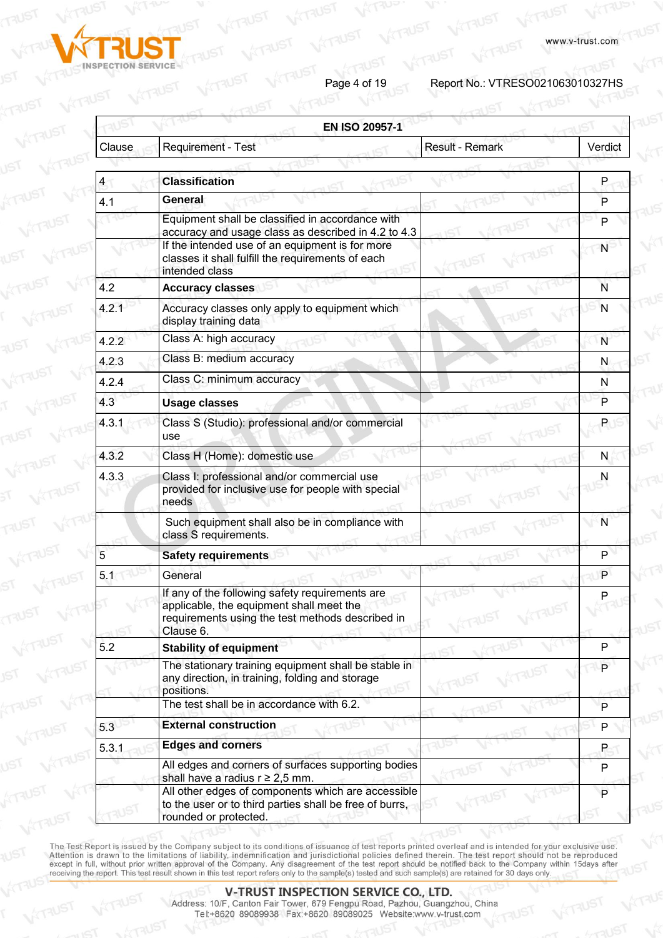

Page 4 of 19<br>Report No.: VTRESO021063010327HS

**a**<br>KTAUST

| <b>EN ISO 20957-1</b> |                                                                                                                                                              |                        |         |
|-----------------------|--------------------------------------------------------------------------------------------------------------------------------------------------------------|------------------------|---------|
| Clause                | Requirement - Test                                                                                                                                           | <b>Result - Remark</b> | Verdict |
| 4                     | <b>Classification</b>                                                                                                                                        |                        | P       |
|                       | General                                                                                                                                                      |                        |         |
| 4.1                   |                                                                                                                                                              |                        | P       |
|                       | Equipment shall be classified in accordance with<br>accuracy and usage class as described in 4.2 to 4.3                                                      |                        | P       |
|                       | If the intended use of an equipment is for more<br>classes it shall fulfill the requirements of each<br>intended class                                       |                        | N       |
| 4.2                   | <b>Accuracy classes</b>                                                                                                                                      |                        | N       |
| 4.2.1                 | Accuracy classes only apply to equipment which<br>display training data                                                                                      |                        | N       |
| 4.2.2                 | Class A: high accuracy                                                                                                                                       |                        | N       |
| 4.2.3                 | Class B: medium accuracy                                                                                                                                     |                        | N       |
| 4.2.4                 | Class C: minimum accuracy                                                                                                                                    |                        | N       |
| 4.3                   | <b>Usage classes</b>                                                                                                                                         |                        | P       |
| 4.3.1                 | Class S (Studio): professional and/or commercial<br>use                                                                                                      |                        | P       |
| 4.3.2                 | Class H (Home): domestic use                                                                                                                                 |                        | N       |
| 4.3.3                 | Class I: professional and/or commercial use<br>provided for inclusive use for people with special<br>needs                                                   |                        | N       |
|                       | Such equipment shall also be in compliance with<br>class S requirements.                                                                                     |                        | N       |
| 5                     | <b>Safety requirements</b>                                                                                                                                   |                        | P       |
| 5.1                   | General                                                                                                                                                      |                        | P       |
|                       | If any of the following safety requirements are<br>applicable, the equipment shall meet the<br>requirements using the test methods described in<br>Clause 6. |                        | Ρ       |
| 5.2                   | <b>Stability of equipment</b>                                                                                                                                |                        | P       |
|                       | The stationary training equipment shall be stable in<br>any direction, in training, folding and storage<br>positions.                                        |                        | P       |
|                       | The test shall be in accordance with 6.2.                                                                                                                    |                        | P       |
| 5.3                   | <b>External construction</b>                                                                                                                                 |                        | P       |
| 5.3.1                 | <b>Edges and corners</b>                                                                                                                                     |                        | P       |
|                       | All edges and corners of surfaces supporting bodies<br>shall have a radius $r \geq 2.5$ mm.                                                                  |                        | P       |
|                       | All other edges of components which are accessible<br>to the user or to third parties shall be free of burrs,<br>rounded or protected.                       |                        | P       |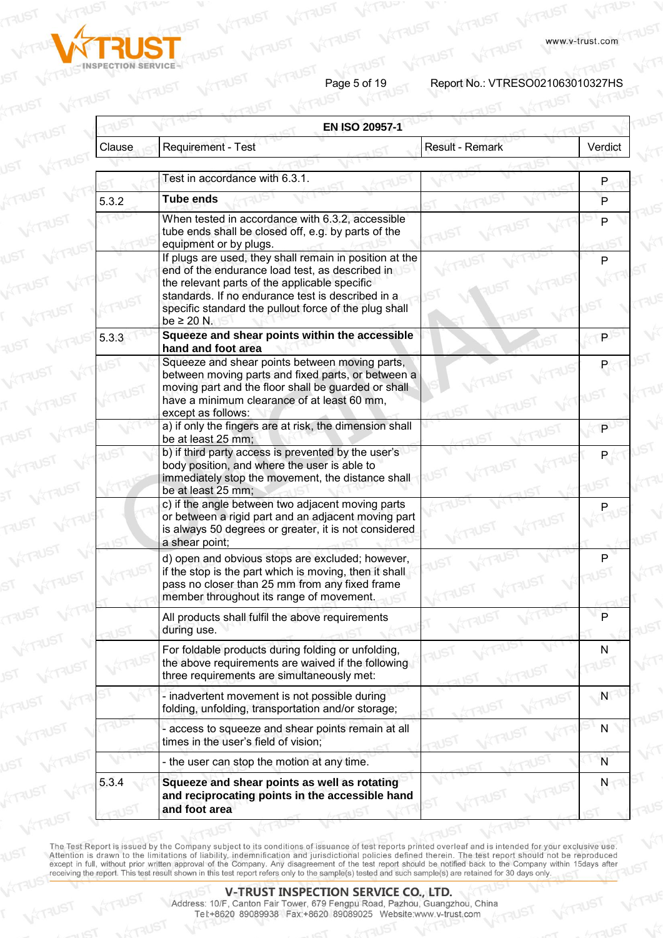

Page 5 of 19<br>Report No.: VTRESO021063010327HS

|        | <b>EN ISO 20957-1</b>                                                                                                                                                                                                                                                     |                        |         |
|--------|---------------------------------------------------------------------------------------------------------------------------------------------------------------------------------------------------------------------------------------------------------------------------|------------------------|---------|
| Clause | Requirement - Test                                                                                                                                                                                                                                                        | <b>Result - Remark</b> | Verdict |
|        |                                                                                                                                                                                                                                                                           |                        |         |
|        | Test in accordance with 6.3.1.                                                                                                                                                                                                                                            |                        | P       |
| 5.3.2  | Tube ends                                                                                                                                                                                                                                                                 |                        | P       |
|        | When tested in accordance with 6.3.2, accessible<br>tube ends shall be closed off, e.g. by parts of the<br>equipment or by plugs.                                                                                                                                         |                        | P       |
|        | If plugs are used, they shall remain in position at the<br>end of the endurance load test, as described in<br>the relevant parts of the applicable specific<br>standards. If no endurance test is described in a<br>specific standard the pullout force of the plug shall |                        | P       |
| 5.3.3  | be $\geq 20$ N.<br>Squeeze and shear points within the accessible<br>hand and foot area                                                                                                                                                                                   |                        |         |
|        | Squeeze and shear points between moving parts,<br>between moving parts and fixed parts, or between a<br>moving part and the floor shall be guarded or shall<br>have a minimum clearance of at least 60 mm,<br>except as follows:                                          |                        |         |
|        | a) if only the fingers are at risk, the dimension shall<br>be at least 25 mm;                                                                                                                                                                                             |                        | P       |
|        | b) if third party access is prevented by the user's<br>body position, and where the user is able to<br>immediately stop the movement, the distance shall<br>be at least 25 mm;                                                                                            |                        |         |
|        | c) if the angle between two adjacent moving parts<br>or between a rigid part and an adjacent moving part<br>is always 50 degrees or greater, it is not considered<br>a shear point;                                                                                       |                        |         |
|        | d) open and obvious stops are excluded; however,<br>if the stop is the part which is moving, then it shall<br>pass no closer than 25 mm from any fixed frame<br>member throughout its range of movement.                                                                  |                        |         |
|        | All products shall fulfil the above requirements<br>during use.                                                                                                                                                                                                           |                        | P       |
|        | For foldable products during folding or unfolding,<br>the above requirements are waived if the following<br>three requirements are simultaneously met:                                                                                                                    |                        | N       |
|        | - inadvertent movement is not possible during<br>folding, unfolding, transportation and/or storage;                                                                                                                                                                       |                        | N       |
|        | - access to squeeze and shear points remain at all<br>times in the user's field of vision;                                                                                                                                                                                |                        | N       |
|        | - the user can stop the motion at any time.                                                                                                                                                                                                                               |                        | N       |
| 5.3.4  | Squeeze and shear points as well as rotating<br>and reciprocating points in the accessible hand<br>and foot area                                                                                                                                                          |                        | Ν       |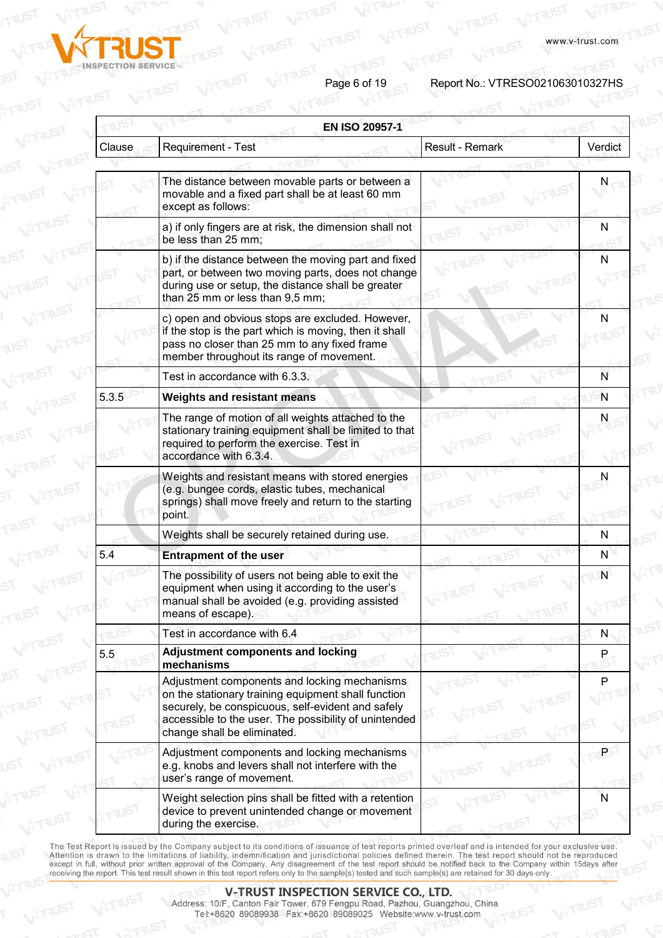

Page 6 of 19<br>Report No.: VTRESO021063010327HS

**A**<br>ATRUST

|        | <b>EN ISO 20957-1</b>                                                                                                                                                                                                                            |                        |         |
|--------|--------------------------------------------------------------------------------------------------------------------------------------------------------------------------------------------------------------------------------------------------|------------------------|---------|
| Clause | <b>Requirement - Test</b>                                                                                                                                                                                                                        | <b>Result - Remark</b> | Verdict |
|        |                                                                                                                                                                                                                                                  |                        |         |
|        | The distance between movable parts or between a<br>movable and a fixed part shall be at least 60 mm<br>except as follows:                                                                                                                        |                        |         |
|        | a) if only fingers are at risk, the dimension shall not<br>be less than 25 mm;                                                                                                                                                                   |                        | N       |
|        | b) if the distance between the moving part and fixed<br>part, or between two moving parts, does not change<br>during use or setup, the distance shall be greater<br>than 25 mm or less than 9,5 mm;                                              |                        | N       |
|        | c) open and obvious stops are excluded. However,<br>if the stop is the part which is moving, then it shall<br>pass no closer than 25 mm to any fixed frame<br>member throughout its range of movement.                                           |                        | N       |
|        | Test in accordance with 6.3.3.                                                                                                                                                                                                                   |                        | N       |
| 5.3.5  | <b>Weights and resistant means</b>                                                                                                                                                                                                               |                        | N       |
|        | The range of motion of all weights attached to the<br>stationary training equipment shall be limited to that<br>required to perform the exercise. Test in<br>accordance with 6.3.4.                                                              |                        | N       |
|        | Weights and resistant means with stored energies<br>(e.g. bungee cords, elastic tubes, mechanical<br>springs) shall move freely and return to the starting<br>point.                                                                             |                        | N       |
|        | Weights shall be securely retained during use.                                                                                                                                                                                                   |                        | N       |
| 5.4    | <b>Entrapment of the user</b>                                                                                                                                                                                                                    |                        | N       |
|        | The possibility of users not being able to exit the<br>equipment when using it according to the user's<br>manual shall be avoided (e.g. providing assisted<br>means of escape).                                                                  |                        | N       |
|        | Test in accordance with 6.4                                                                                                                                                                                                                      |                        | N       |
| 5.5    | <b>Adjustment components and locking</b><br>mechanisms                                                                                                                                                                                           |                        | P.      |
|        | Adjustment components and locking mechanisms<br>on the stationary training equipment shall function<br>securely, be conspicuous, self-evident and safely<br>accessible to the user. The possibility of unintended<br>change shall be eliminated. |                        | Р       |
|        | Adjustment components and locking mechanisms<br>e.g. knobs and levers shall not interfere with the<br>user's range of movement.                                                                                                                  |                        | P       |
|        | Weight selection pins shall be fitted with a retention<br>device to prevent unintended change or movement<br>during the exercise.                                                                                                                |                        | N       |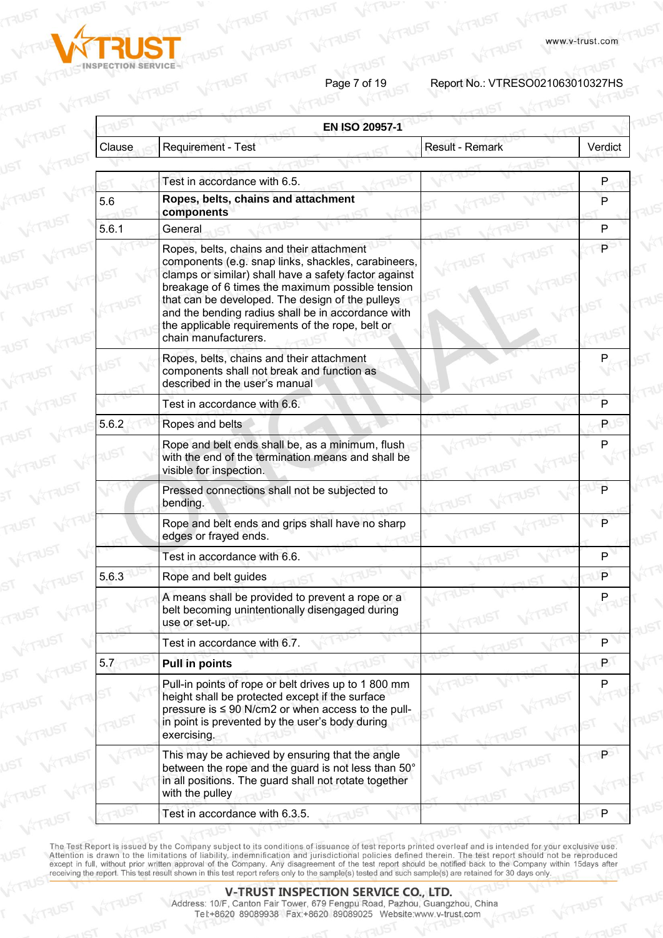

Page 7 of 19<br>Report No.: VTRESO021063010327HS

| <b>EN ISO 20957-1</b> |                                                                                                                                                                                                                                                                                                                                                                                                     |                        |         |
|-----------------------|-----------------------------------------------------------------------------------------------------------------------------------------------------------------------------------------------------------------------------------------------------------------------------------------------------------------------------------------------------------------------------------------------------|------------------------|---------|
| Clause                | Requirement - Test                                                                                                                                                                                                                                                                                                                                                                                  | <b>Result - Remark</b> | Verdict |
|                       |                                                                                                                                                                                                                                                                                                                                                                                                     |                        |         |
|                       | Test in accordance with 6.5.                                                                                                                                                                                                                                                                                                                                                                        |                        | P       |
| 5.6                   | Ropes, belts, chains and attachment<br>components                                                                                                                                                                                                                                                                                                                                                   |                        | P       |
| 5.6.1                 | General                                                                                                                                                                                                                                                                                                                                                                                             |                        | P       |
|                       | Ropes, belts, chains and their attachment<br>components (e.g. snap links, shackles, carabineers,<br>clamps or similar) shall have a safety factor against<br>breakage of 6 times the maximum possible tension<br>that can be developed. The design of the pulleys<br>and the bending radius shall be in accordance with<br>the applicable requirements of the rope, belt or<br>chain manufacturers. |                        | P       |
|                       | Ropes, belts, chains and their attachment<br>components shall not break and function as<br>described in the user's manual                                                                                                                                                                                                                                                                           |                        |         |
|                       | Test in accordance with 6.6.                                                                                                                                                                                                                                                                                                                                                                        |                        | P       |
| 5.6.2                 | Ropes and belts                                                                                                                                                                                                                                                                                                                                                                                     |                        | P.      |
|                       | Rope and belt ends shall be, as a minimum, flush<br>with the end of the termination means and shall be<br>visible for inspection.                                                                                                                                                                                                                                                                   |                        | P       |
|                       | Pressed connections shall not be subjected to<br>bending.                                                                                                                                                                                                                                                                                                                                           |                        | P       |
|                       | Rope and belt ends and grips shall have no sharp<br>edges or frayed ends.                                                                                                                                                                                                                                                                                                                           |                        | P       |
|                       | Test in accordance with 6.6.                                                                                                                                                                                                                                                                                                                                                                        |                        | P       |
| 5.6.3                 | Rope and belt guides                                                                                                                                                                                                                                                                                                                                                                                |                        | P       |
|                       | A means shall be provided to prevent a rope or a<br>belt becoming unintentionally disengaged during<br>use or set-up.                                                                                                                                                                                                                                                                               |                        | P       |
|                       | Test in accordance with 6.7.                                                                                                                                                                                                                                                                                                                                                                        |                        | P       |
| 5.7                   | <b>Pull in points</b>                                                                                                                                                                                                                                                                                                                                                                               |                        | P       |
|                       | Pull-in points of rope or belt drives up to 1 800 mm<br>height shall be protected except if the surface<br>pressure is $\leq 90$ N/cm2 or when access to the pull-<br>in point is prevented by the user's body during<br>exercising.                                                                                                                                                                |                        | Р       |
|                       | This may be achieved by ensuring that the angle<br>between the rope and the guard is not less than 50°<br>in all positions. The guard shall not rotate together<br>with the pulley                                                                                                                                                                                                                  |                        | P       |
|                       | Test in accordance with 6.3.5.                                                                                                                                                                                                                                                                                                                                                                      |                        |         |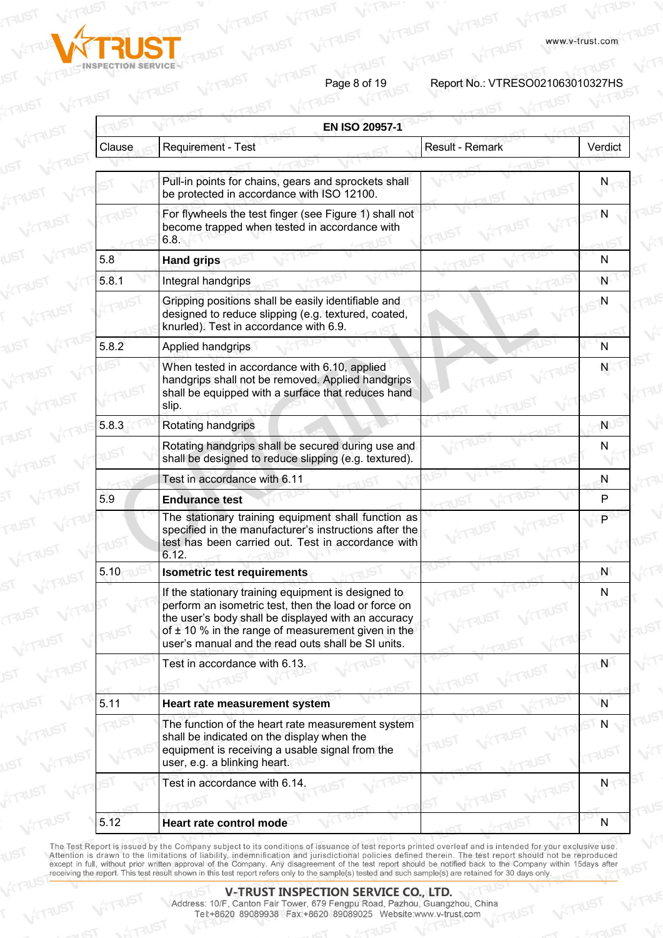

Page 8 of 19<br>Report No.: VTRESO021063010327HS

**ARUST** 

|        |                                                                                                                                                                                                                                                                                    | <b>Result - Remark</b> | Verdict   |
|--------|------------------------------------------------------------------------------------------------------------------------------------------------------------------------------------------------------------------------------------------------------------------------------------|------------------------|-----------|
| Clause | Requirement - Test                                                                                                                                                                                                                                                                 |                        |           |
|        |                                                                                                                                                                                                                                                                                    |                        |           |
|        | Pull-in points for chains, gears and sprockets shall<br>be protected in accordance with ISO 12100.                                                                                                                                                                                 |                        |           |
|        | For flywheels the test finger (see Figure 1) shall not<br>become trapped when tested in accordance with<br>6.8.                                                                                                                                                                    |                        | N         |
| 5.8    | <b>Hand grips</b>                                                                                                                                                                                                                                                                  |                        | N         |
| 5.8.1  | Integral handgrips                                                                                                                                                                                                                                                                 |                        | N         |
|        | Gripping positions shall be easily identifiable and<br>designed to reduce slipping (e.g. textured, coated,<br>knurled). Test in accordance with 6.9.                                                                                                                               |                        | N         |
| 5.8.2  | Applied handgrips                                                                                                                                                                                                                                                                  |                        | N         |
|        | When tested in accordance with 6.10, applied<br>handgrips shall not be removed. Applied handgrips<br>shall be equipped with a surface that reduces hand<br>slip.                                                                                                                   |                        | N         |
| 5.8.3  | Rotating handgrips                                                                                                                                                                                                                                                                 |                        | N         |
|        | Rotating handgrips shall be secured during use and<br>shall be designed to reduce slipping (e.g. textured).                                                                                                                                                                        |                        | N         |
|        | Test in accordance with 6.11                                                                                                                                                                                                                                                       |                        | N         |
| 5.9    | <b>Endurance test</b>                                                                                                                                                                                                                                                              |                        | P         |
|        | The stationary training equipment shall function as<br>specified in the manufacturer's instructions after the<br>test has been carried out. Test in accordance with<br>6.12.                                                                                                       |                        | P         |
| 5.10   | <b>Isometric test requirements</b>                                                                                                                                                                                                                                                 |                        | N         |
|        | If the stationary training equipment is designed to<br>perform an isometric test, then the load or force on<br>the user's body shall be displayed with an accuracy<br>of $\pm$ 10 % in the range of measurement given in the<br>user's manual and the read outs shall be SI units. |                        | N         |
|        | Test in accordance with 6.13.                                                                                                                                                                                                                                                      |                        | N         |
| 5.11   | Heart rate measurement system                                                                                                                                                                                                                                                      |                        | N         |
|        | The function of the heart rate measurement system<br>shall be indicated on the display when the<br>equipment is receiving a usable signal from the<br>user, e.g. a blinking heart.                                                                                                 |                        | N         |
|        | Test in accordance with 6.14.                                                                                                                                                                                                                                                      |                        | N         |
| 5.12   | Heart rate control mode                                                                                                                                                                                                                                                            |                        | ${\sf N}$ |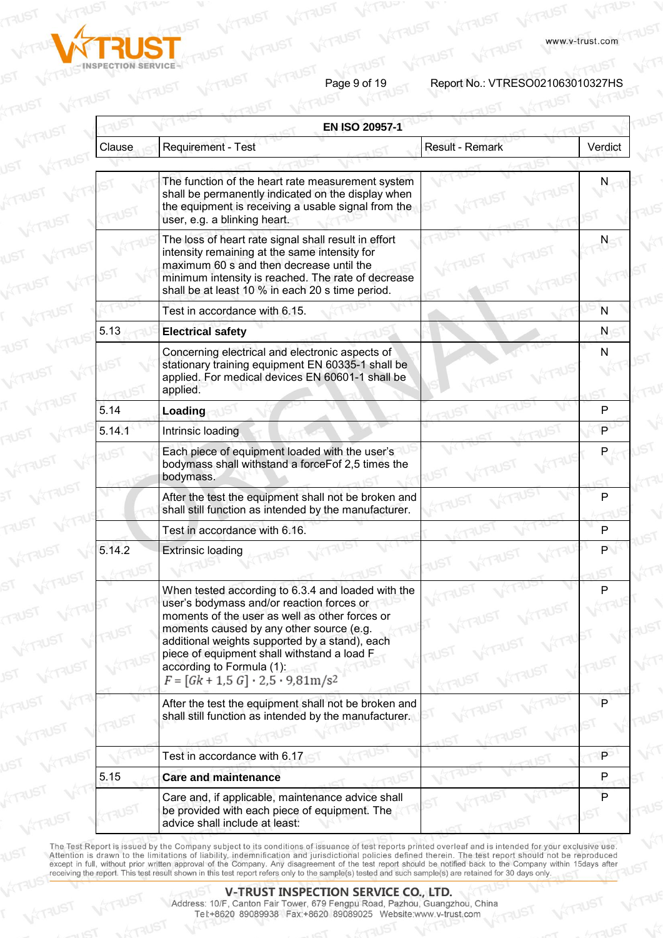



Page 9 of 19<br>Report No.: VTRESO021063010327HS

**ATAUST** 

| <b>EN ISO 20957-1</b> |                                                                                                                                                                                                                                                                                                                                                                                     |                        |         |
|-----------------------|-------------------------------------------------------------------------------------------------------------------------------------------------------------------------------------------------------------------------------------------------------------------------------------------------------------------------------------------------------------------------------------|------------------------|---------|
| Clause                | Requirement - Test                                                                                                                                                                                                                                                                                                                                                                  | <b>Result - Remark</b> | Verdict |
|                       |                                                                                                                                                                                                                                                                                                                                                                                     |                        |         |
|                       | The function of the heart rate measurement system<br>shall be permanently indicated on the display when<br>the equipment is receiving a usable signal from the<br>user, e.g. a blinking heart.                                                                                                                                                                                      |                        | N       |
|                       | The loss of heart rate signal shall result in effort<br>intensity remaining at the same intensity for<br>maximum 60 s and then decrease until the<br>minimum intensity is reached. The rate of decrease<br>shall be at least 10 % in each 20 s time period.                                                                                                                         |                        | N       |
|                       | Test in accordance with 6.15.                                                                                                                                                                                                                                                                                                                                                       |                        | N       |
| 5.13                  | <b>Electrical safety</b>                                                                                                                                                                                                                                                                                                                                                            |                        | N       |
|                       | Concerning electrical and electronic aspects of<br>stationary training equipment EN 60335-1 shall be<br>applied. For medical devices EN 60601-1 shall be<br>applied.                                                                                                                                                                                                                |                        | N       |
| 5.14                  | Loading                                                                                                                                                                                                                                                                                                                                                                             |                        | P       |
| 5.14.1                | Intrinsic loading                                                                                                                                                                                                                                                                                                                                                                   |                        | P       |
|                       | Each piece of equipment loaded with the user's<br>bodymass shall withstand a forceFof 2,5 times the<br>bodymass.                                                                                                                                                                                                                                                                    |                        |         |
|                       | After the test the equipment shall not be broken and<br>shall still function as intended by the manufacturer.                                                                                                                                                                                                                                                                       |                        | P       |
|                       | Test in accordance with 6.16.                                                                                                                                                                                                                                                                                                                                                       |                        | P       |
| 5.14.2                | <b>Extrinsic loading</b>                                                                                                                                                                                                                                                                                                                                                            |                        | P       |
|                       | When tested according to 6.3.4 and loaded with the<br>user's bodymass and/or reaction forces or<br>moments of the user as well as other forces or<br>moments caused by any other source (e.g.<br>additional weights supported by a stand), each<br>piece of equipment shall withstand a load F<br>according to Formula (1):<br>$F = [Gk + 1.5 G] \cdot 2.5 \cdot 9.81 \text{m/s}^2$ |                        | P       |
|                       | After the test the equipment shall not be broken and<br>shall still function as intended by the manufacturer.                                                                                                                                                                                                                                                                       |                        | P       |
|                       | Test in accordance with 6.17                                                                                                                                                                                                                                                                                                                                                        |                        | P.      |
| 5.15                  | <b>Care and maintenance</b>                                                                                                                                                                                                                                                                                                                                                         |                        | P       |
|                       | Care and, if applicable, maintenance advice shall<br>be provided with each piece of equipment. The<br>advice shall include at least:                                                                                                                                                                                                                                                |                        | P       |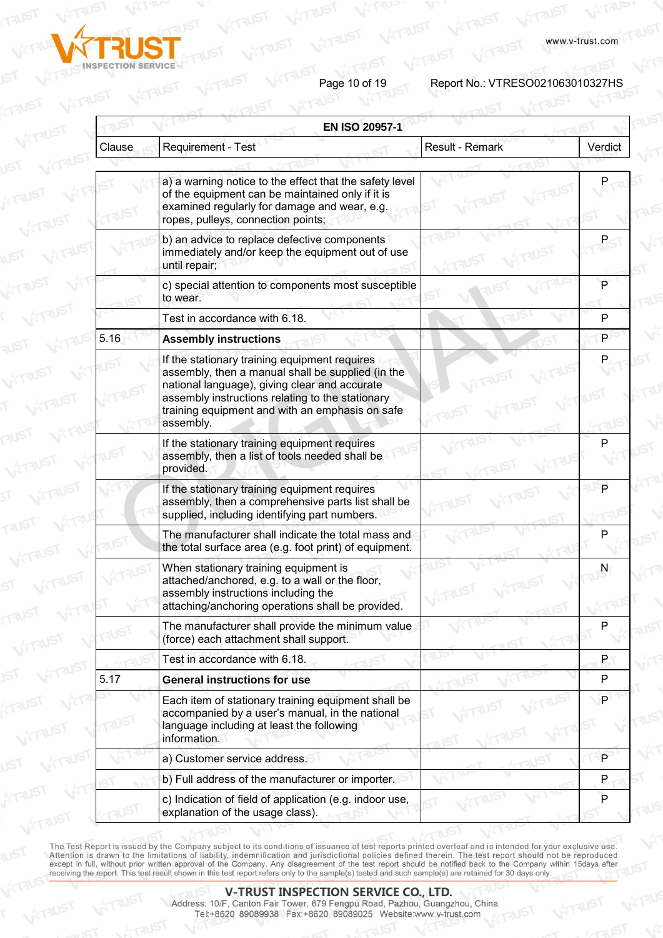



Page 10 of 19<br>**Page 10 of 19** Report No.: VTRESO021063010327HS

|        | <b>EN ISO 20957-1</b>                                                                                                                                                                                                                                                   |                 |         |
|--------|-------------------------------------------------------------------------------------------------------------------------------------------------------------------------------------------------------------------------------------------------------------------------|-----------------|---------|
| Clause | Requirement - Test                                                                                                                                                                                                                                                      | Result - Remark | Verdict |
|        | a) a warning notice to the effect that the safety level<br>of the equipment can be maintained only if it is<br>examined regularly for damage and wear, e.g.<br>ropes, pulleys, connection points;                                                                       |                 |         |
|        | b) an advice to replace defective components<br>immediately and/or keep the equipment out of use<br>until repair;                                                                                                                                                       |                 |         |
|        | c) special attention to components most susceptible<br>to wear.                                                                                                                                                                                                         |                 | P       |
|        | Test in accordance with 6.18.                                                                                                                                                                                                                                           |                 | P       |
| 5.16   | <b>Assembly instructions</b>                                                                                                                                                                                                                                            |                 | P       |
|        | If the stationary training equipment requires<br>assembly, then a manual shall be supplied (in the<br>national language), giving clear and accurate<br>assembly instructions relating to the stationary<br>training equipment and with an emphasis on safe<br>assembly. |                 |         |
|        | If the stationary training equipment requires<br>assembly, then a list of tools needed shall be<br>provided.                                                                                                                                                            |                 | Р       |
|        | If the stationary training equipment requires<br>assembly, then a comprehensive parts list shall be<br>supplied, including identifying part numbers.                                                                                                                    |                 | P       |
|        | The manufacturer shall indicate the total mass and<br>the total surface area (e.g. foot print) of equipment.                                                                                                                                                            |                 | Р       |
|        | When stationary training equipment is<br>attached/anchored, e.g. to a wall or the floor,<br>assembly instructions including the<br>attaching/anchoring operations shall be provided.                                                                                    |                 | N       |
|        | The manufacturer shall provide the minimum value<br>(force) each attachment shall support.                                                                                                                                                                              |                 | P       |
|        | Test in accordance with 6.18.                                                                                                                                                                                                                                           |                 | P       |
| 5.17   | <b>General instructions for use</b>                                                                                                                                                                                                                                     |                 | P       |
|        | Each item of stationary training equipment shall be<br>accompanied by a user's manual, in the national<br>language including at least the following<br>information.                                                                                                     |                 | P       |
|        | a) Customer service address.                                                                                                                                                                                                                                            |                 | P       |
|        | b) Full address of the manufacturer or importer.                                                                                                                                                                                                                        |                 | P       |
|        | c) Indication of field of application (e.g. indoor use,<br>explanation of the usage class).                                                                                                                                                                             |                 | P       |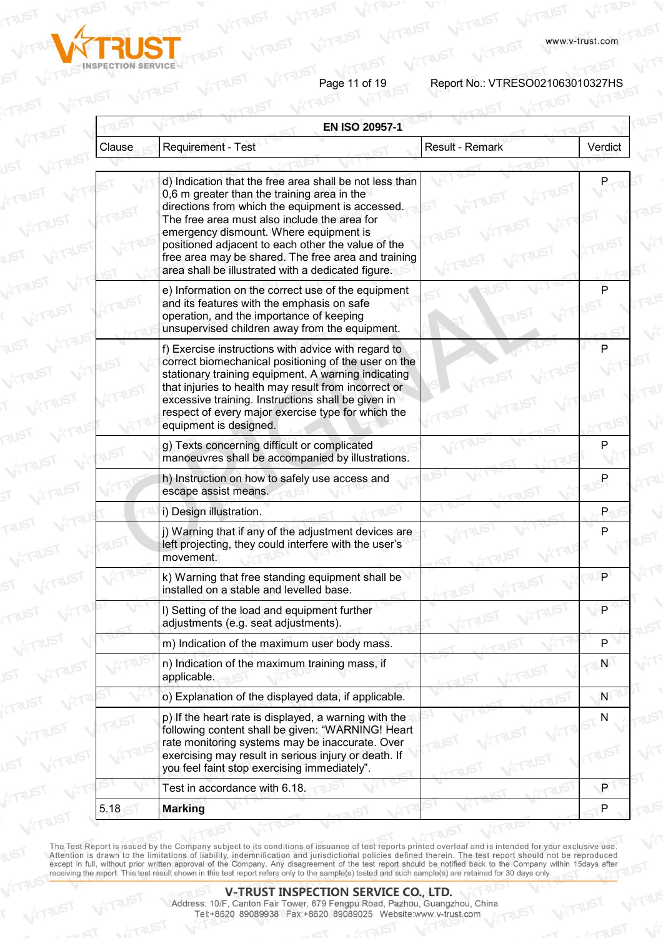

Page 11 of 19<br>
Report No.: VTRESO021063010327HS

www.v-trust.com

| Clause | Requirement - Test                                                                                                                                                                                                                                                                                                                                                                                                      | <b>Result - Remark</b> | Verdict   |
|--------|-------------------------------------------------------------------------------------------------------------------------------------------------------------------------------------------------------------------------------------------------------------------------------------------------------------------------------------------------------------------------------------------------------------------------|------------------------|-----------|
|        |                                                                                                                                                                                                                                                                                                                                                                                                                         |                        |           |
|        | d) Indication that the free area shall be not less than<br>0,6 m greater than the training area in the<br>directions from which the equipment is accessed.<br>The free area must also include the area for<br>emergency dismount. Where equipment is<br>positioned adjacent to each other the value of the<br>free area may be shared. The free area and training<br>area shall be illustrated with a dedicated figure. |                        |           |
|        | e) Information on the correct use of the equipment<br>and its features with the emphasis on safe<br>operation, and the importance of keeping<br>unsupervised children away from the equipment.                                                                                                                                                                                                                          |                        | P         |
|        | f) Exercise instructions with advice with regard to<br>correct biomechanical positioning of the user on the<br>stationary training equipment. A warning indicating<br>that injuries to health may result from incorrect or<br>excessive training. Instructions shall be given in<br>respect of every major exercise type for which the<br>equipment is designed.                                                        |                        | P         |
|        | g) Texts concerning difficult or complicated<br>manoeuvres shall be accompanied by illustrations.                                                                                                                                                                                                                                                                                                                       |                        |           |
|        | h) Instruction on how to safely use access and<br>escape assist means.                                                                                                                                                                                                                                                                                                                                                  |                        |           |
|        | i) Design illustration.                                                                                                                                                                                                                                                                                                                                                                                                 |                        | P         |
|        | j) Warning that if any of the adjustment devices are<br>left projecting, they could interfere with the user's<br>movement.                                                                                                                                                                                                                                                                                              |                        | P         |
|        | k) Warning that free standing equipment shall be<br>installed on a stable and levelled base.                                                                                                                                                                                                                                                                                                                            |                        | P         |
|        | I) Setting of the load and equipment further<br>adjustments (e.g. seat adjustments).                                                                                                                                                                                                                                                                                                                                    |                        | P         |
|        | m) Indication of the maximum user body mass.                                                                                                                                                                                                                                                                                                                                                                            |                        | P         |
|        | n) Indication of the maximum training mass, if<br>applicable.                                                                                                                                                                                                                                                                                                                                                           |                        | ${\sf N}$ |
|        | o) Explanation of the displayed data, if applicable.                                                                                                                                                                                                                                                                                                                                                                    |                        | N         |
|        | p) If the heart rate is displayed, a warning with the<br>following content shall be given: "WARNING! Heart<br>rate monitoring systems may be inaccurate. Over<br>exercising may result in serious injury or death. If<br>you feel faint stop exercising immediately".                                                                                                                                                   |                        | N         |
|        | Test in accordance with 6.18.                                                                                                                                                                                                                                                                                                                                                                                           |                        | P         |
| 5.18   | <b>Marking</b>                                                                                                                                                                                                                                                                                                                                                                                                          |                        | P         |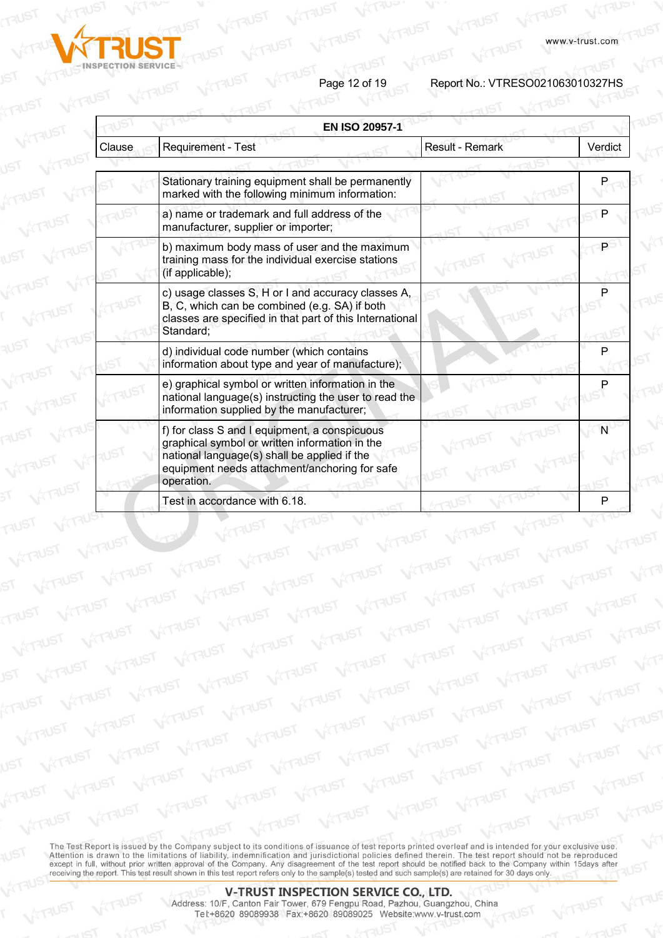

Page 12 of 19<br>Report No.: VTRESO021063010327HS

**WITAUST** 

**WITAUST** 

|        | <b>EN ISO 20957-1</b>                                                                                                                                                                                          |                        |         |
|--------|----------------------------------------------------------------------------------------------------------------------------------------------------------------------------------------------------------------|------------------------|---------|
| Clause | Requirement - Test                                                                                                                                                                                             | <b>Result - Remark</b> | Verdict |
|        |                                                                                                                                                                                                                |                        |         |
|        | Stationary training equipment shall be permanently<br>marked with the following minimum information:                                                                                                           |                        |         |
|        | a) name or trademark and full address of the<br>manufacturer, supplier or importer;                                                                                                                            |                        |         |
|        | b) maximum body mass of user and the maximum<br>training mass for the individual exercise stations<br>(if applicable);                                                                                         |                        |         |
|        | c) usage classes S, H or I and accuracy classes A,<br>B, C, which can be combined (e.g. SA) if both<br>classes are specified in that part of this International<br>Standard:                                   |                        |         |
|        | d) individual code number (which contains<br>information about type and year of manufacture);                                                                                                                  |                        |         |
|        | e) graphical symbol or written information in the<br>national language(s) instructing the user to read the<br>information supplied by the manufacturer;                                                        |                        |         |
|        | f) for class S and I equipment, a conspicuous<br>graphical symbol or written information in the<br>national language(s) shall be applied if the<br>equipment needs attachment/anchoring for safe<br>operation. |                        |         |
|        | Test in accordance with 6.18.                                                                                                                                                                                  |                        |         |

**VITAUST** 

VÝTAUST WITAUST WITAUST WITAUST WITAUST

The Test Report is issued by the Company subject to its conditions of issuance of test reports printed overleaf and is intended for your exclusive use. Attention is drawn to the limitations of liability, indemnification and jurisdictional policies defined therein. The test report should not be reproduced except in full, without prior written approval of the Company. Any d

TRUST WITHINGT WITHINGT WITHINGT WITHINGT WITHINGT

WITHIST WITHIST WITHIST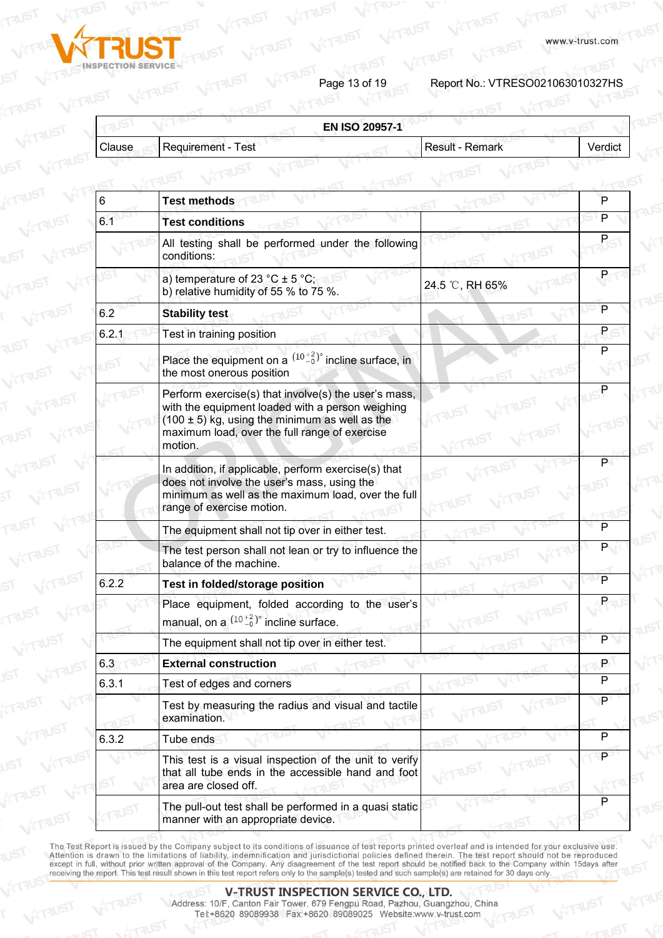

Page 13 of 19<br>**Page 13 of 19** Report No.: VTRESO021063010327HS

**ATAUST** 

| Clause |                                                                                                                                                                                                                            |                        |         |
|--------|----------------------------------------------------------------------------------------------------------------------------------------------------------------------------------------------------------------------------|------------------------|---------|
|        | Requirement - Test                                                                                                                                                                                                         | <b>Result - Remark</b> | Verdict |
|        |                                                                                                                                                                                                                            |                        |         |
| 6      | <b>Test methods</b>                                                                                                                                                                                                        |                        | P       |
| 6.1    | <b>Test conditions</b>                                                                                                                                                                                                     |                        | P       |
|        | All testing shall be performed under the following<br>conditions:                                                                                                                                                          |                        |         |
|        | a) temperature of 23 °C $\pm$ 5 °C;<br>b) relative humidity of 55 % to 75 %.                                                                                                                                               | 24.5 °C, RH 65%        |         |
| 6.2    | <b>Stability test</b>                                                                                                                                                                                                      |                        | P       |
| 6.2.1  | Test in training position                                                                                                                                                                                                  |                        | P.      |
|        | Place the equipment on a $(10^{+2}_{-0})^{\circ}$ incline surface, in<br>the most onerous position                                                                                                                         |                        | P       |
|        | Perform exercise(s) that involve(s) the user's mass,<br>with the equipment loaded with a person weighing<br>$(100 \pm 5)$ kg, using the minimum as well as the<br>maximum load, over the full range of exercise<br>motion. |                        |         |
|        | In addition, if applicable, perform exercise(s) that<br>does not involve the user's mass, using the<br>minimum as well as the maximum load, over the full<br>range of exercise motion.                                     |                        | P       |
|        | The equipment shall not tip over in either test.                                                                                                                                                                           |                        | P       |
|        | The test person shall not lean or try to influence the<br>balance of the machine.                                                                                                                                          |                        |         |
| 6.2.2  | Test in folded/storage position                                                                                                                                                                                            |                        | P       |
|        | Place equipment, folded according to the user's<br>manual, on a $(10+2)$ <sup>o</sup> incline surface.                                                                                                                     |                        | P       |
|        | The equipment shall not tip over in either test.                                                                                                                                                                           |                        | P       |
| 6.3    | <b>External construction</b>                                                                                                                                                                                               |                        | P       |
| 6.3.1  | Test of edges and corners                                                                                                                                                                                                  |                        | P       |
|        | Test by measuring the radius and visual and tactile<br>examination.                                                                                                                                                        |                        | P       |
| 6.3.2  | Tube ends                                                                                                                                                                                                                  |                        | P       |
|        | This test is a visual inspection of the unit to verify<br>that all tube ends in the accessible hand and foot<br>area are closed off.                                                                                       |                        | P       |
|        | The pull-out test shall be performed in a quasi static<br>manner with an appropriate device.                                                                                                                               |                        |         |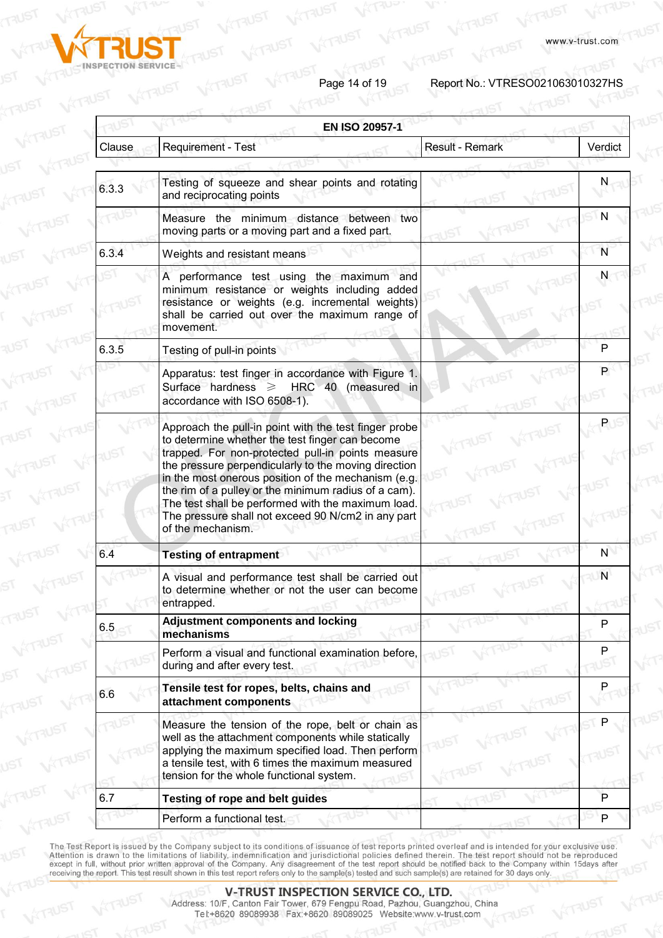

Page 14 of 19<br>**Page 14 of 19** Report No.: VTRESO021063010327HS

|        | <b>EN ISO 20957-1</b>                                                                                                                                                                                                                                                                                                                                                                                                                                                 |                        |         |
|--------|-----------------------------------------------------------------------------------------------------------------------------------------------------------------------------------------------------------------------------------------------------------------------------------------------------------------------------------------------------------------------------------------------------------------------------------------------------------------------|------------------------|---------|
| Clause | Requirement - Test                                                                                                                                                                                                                                                                                                                                                                                                                                                    | <b>Result - Remark</b> | Verdict |
| 6.3.3  | Testing of squeeze and shear points and rotating<br>and reciprocating points                                                                                                                                                                                                                                                                                                                                                                                          |                        | N.      |
|        | Measure the minimum distance between two<br>moving parts or a moving part and a fixed part.                                                                                                                                                                                                                                                                                                                                                                           |                        | N       |
| 6.3.4  | Weights and resistant means                                                                                                                                                                                                                                                                                                                                                                                                                                           |                        | N       |
|        | A performance test using the maximum and<br>minimum resistance or weights including added<br>resistance or weights (e.g. incremental weights)<br>shall be carried out over the maximum range of<br>movement.                                                                                                                                                                                                                                                          |                        | N       |
| 6.3.5  | Testing of pull-in points                                                                                                                                                                                                                                                                                                                                                                                                                                             |                        | P       |
|        | Apparatus: test finger in accordance with Figure 1.<br>Surface hardness $\geq$ HRC 40 (measured in<br>accordance with ISO 6508-1).                                                                                                                                                                                                                                                                                                                                    |                        | P       |
|        | Approach the pull-in point with the test finger probe<br>to determine whether the test finger can become<br>trapped. For non-protected pull-in points measure<br>the pressure perpendicularly to the moving direction<br>in the most onerous position of the mechanism (e.g.<br>the rim of a pulley or the minimum radius of a cam).<br>The test shall be performed with the maximum load.<br>The pressure shall not exceed 90 N/cm2 in any part<br>of the mechanism. |                        | P.      |
| 6.4    | <b>Testing of entrapment</b>                                                                                                                                                                                                                                                                                                                                                                                                                                          |                        | N.      |
|        | A visual and performance test shall be carried out<br>to determine whether or not the user can become<br>entrapped.                                                                                                                                                                                                                                                                                                                                                   |                        | N       |
| 6.5    | <b>Adjustment components and locking</b><br>mechanisms                                                                                                                                                                                                                                                                                                                                                                                                                |                        | P       |
|        | Perform a visual and functional examination before,<br>during and after every test.                                                                                                                                                                                                                                                                                                                                                                                   |                        | P       |
| 6.6    | Tensile test for ropes, belts, chains and<br>attachment components                                                                                                                                                                                                                                                                                                                                                                                                    |                        |         |
|        | Measure the tension of the rope, belt or chain as<br>well as the attachment components while statically<br>applying the maximum specified load. Then perform<br>a tensile test, with 6 times the maximum measured<br>tension for the whole functional system.                                                                                                                                                                                                         |                        |         |
| 6.7    | <b>Testing of rope and belt guides</b>                                                                                                                                                                                                                                                                                                                                                                                                                                |                        | P       |
|        | Perform a functional test.                                                                                                                                                                                                                                                                                                                                                                                                                                            |                        | P       |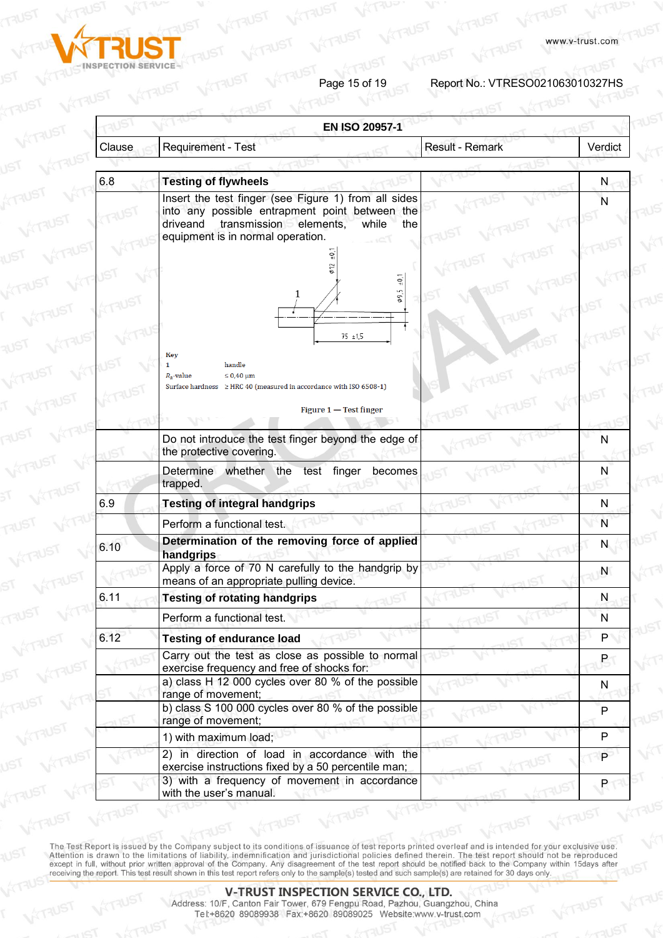

VITAUST

Page 15 of 19<br>Report No.: VTRESO021063010327HS

|        |                                                                                                                                                                                                   | <b>EN ISO 20957-1</b>  |                |  |
|--------|---------------------------------------------------------------------------------------------------------------------------------------------------------------------------------------------------|------------------------|----------------|--|
| Clause | Requirement - Test                                                                                                                                                                                | <b>Result - Remark</b> | Verdict        |  |
| 6.8    |                                                                                                                                                                                                   |                        |                |  |
|        | <b>Testing of flywheels</b>                                                                                                                                                                       |                        | N              |  |
|        | Insert the test finger (see Figure 1) from all sides<br>into any possible entrapment point between the<br>transmission elements,<br>driveand<br>while<br>the<br>equipment is in normal operation. |                        | N              |  |
|        |                                                                                                                                                                                                   |                        |                |  |
|        | $-10^{+}$<br>Lņ                                                                                                                                                                                   |                        |                |  |
|        | $75 + 1.5$                                                                                                                                                                                        |                        |                |  |
|        | Key                                                                                                                                                                                               |                        |                |  |
|        | handle<br>1<br>$R_2$ -value<br>$\leq 0.40$ um<br>Surface hardness ≥ HRC 40 (measured in accordance with ISO 6508-1)                                                                               |                        |                |  |
|        | Figure $1 -$ Test finger                                                                                                                                                                          |                        |                |  |
|        | Do not introduce the test finger beyond the edge of<br>the protective covering.                                                                                                                   |                        | N              |  |
|        | Determine whether the test finger<br>becomes<br>trapped.                                                                                                                                          |                        |                |  |
| 6.9    | <b>Testing of integral handgrips</b>                                                                                                                                                              |                        | N              |  |
|        | Perform a functional test.                                                                                                                                                                        |                        | N              |  |
| 6.10   | Determination of the removing force of applied<br>handgrips                                                                                                                                       |                        | N              |  |
|        | Apply a force of 70 N carefully to the handgrip by<br>means of an appropriate pulling device.                                                                                                     |                        | N              |  |
| 6.11   | <b>Testing of rotating handgrips</b>                                                                                                                                                              |                        | N              |  |
|        | Perform a functional test.                                                                                                                                                                        |                        | N              |  |
| 6.12   | <b>Testing of endurance load</b>                                                                                                                                                                  |                        | P              |  |
|        | Carry out the test as close as possible to normal<br>exercise frequency and free of shocks for:                                                                                                   |                        | P.             |  |
|        | a) class H 12 000 cycles over 80 % of the possible<br>range of movement;<br>b) class S 100 000 cycles over 80 % of the possible                                                                   |                        | N              |  |
|        | range of movement;                                                                                                                                                                                |                        | P              |  |
|        | 1) with maximum load;                                                                                                                                                                             |                        | P              |  |
|        | in direction of load in accordance with the<br>(2)<br>exercise instructions fixed by a 50 percentile man;                                                                                         |                        | P.             |  |
|        | 3) with a frequency of movement in accordance<br>with the user's manual.                                                                                                                          |                        | P <sub>1</sub> |  |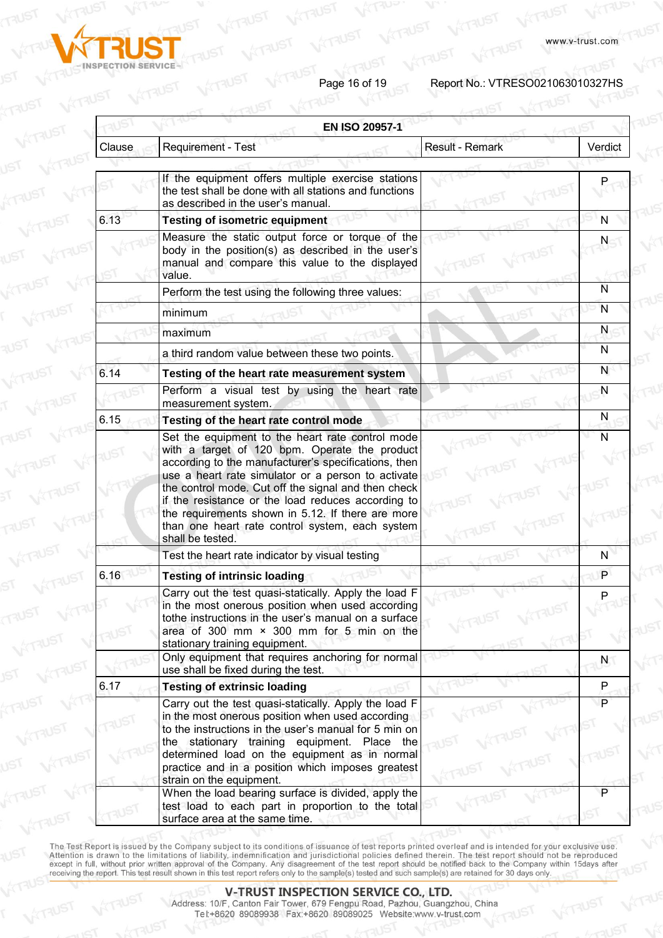

Page 16 of 19<br>
Report No.: VTRESO021063010327HS

**A**<br>ATRUST

|        |                                                                                                                                                                                                                                                                                                                                                                                                                                      | <b>EN ISO 20957-1</b>  |                |  |
|--------|--------------------------------------------------------------------------------------------------------------------------------------------------------------------------------------------------------------------------------------------------------------------------------------------------------------------------------------------------------------------------------------------------------------------------------------|------------------------|----------------|--|
| Clause | Requirement - Test                                                                                                                                                                                                                                                                                                                                                                                                                   | <b>Result - Remark</b> | Verdict        |  |
|        | If the equipment offers multiple exercise stations<br>the test shall be done with all stations and functions                                                                                                                                                                                                                                                                                                                         |                        |                |  |
| 6.13   | as described in the user's manual.<br><b>Testing of isometric equipment</b>                                                                                                                                                                                                                                                                                                                                                          |                        | N              |  |
|        | Measure the static output force or torque of the<br>body in the position(s) as described in the user's<br>manual and compare this value to the displayed<br>value.                                                                                                                                                                                                                                                                   |                        | N              |  |
|        | Perform the test using the following three values:                                                                                                                                                                                                                                                                                                                                                                                   |                        | N              |  |
|        | minimum                                                                                                                                                                                                                                                                                                                                                                                                                              |                        | N              |  |
|        | maximum                                                                                                                                                                                                                                                                                                                                                                                                                              |                        | N              |  |
|        | a third random value between these two points.                                                                                                                                                                                                                                                                                                                                                                                       |                        | N              |  |
| 6.14   | Testing of the heart rate measurement system                                                                                                                                                                                                                                                                                                                                                                                         |                        | N              |  |
|        | Perform a visual test by using the heart rate<br>measurement system.                                                                                                                                                                                                                                                                                                                                                                 |                        | N              |  |
| 6.15   | Testing of the heart rate control mode                                                                                                                                                                                                                                                                                                                                                                                               |                        | N              |  |
|        | Set the equipment to the heart rate control mode<br>with a target of 120 bpm. Operate the product<br>according to the manufacturer's specifications, then<br>use a heart rate simulator or a person to activate<br>the control mode. Cut off the signal and then check<br>if the resistance or the load reduces according to<br>the requirements shown in 5.12. If there are more<br>than one heart rate control system, each system |                        | Ñ              |  |
|        | shall be tested.                                                                                                                                                                                                                                                                                                                                                                                                                     |                        |                |  |
|        | Test the heart rate indicator by visual testing                                                                                                                                                                                                                                                                                                                                                                                      |                        | N              |  |
| 6.16   | <b>Testing of intrinsic loading</b>                                                                                                                                                                                                                                                                                                                                                                                                  |                        | P              |  |
|        | Carry out the test quasi-statically. Apply the load F<br>in the most onerous position when used according<br>tothe instructions in the user's manual on a surface<br>area of 300 mm $\times$ 300 mm for 5 min on the                                                                                                                                                                                                                 |                        | P              |  |
|        | stationary training equipment.<br>Only equipment that requires anchoring for normal<br>use shall be fixed during the test.                                                                                                                                                                                                                                                                                                           |                        | N              |  |
| 6.17   | <b>Testing of extrinsic loading</b>                                                                                                                                                                                                                                                                                                                                                                                                  |                        | P              |  |
|        | Carry out the test quasi-statically. Apply the load F<br>in the most onerous position when used according<br>to the instructions in the user's manual for 5 min on<br>the stationary training equipment. Place the<br>determined load on the equipment as in normal<br>practice and in a position which imposes greatest<br>strain on the equipment.                                                                                 |                        | $\overline{P}$ |  |
|        | When the load bearing surface is divided, apply the<br>test load to each part in proportion to the total<br>surface area at the same time.                                                                                                                                                                                                                                                                                           |                        |                |  |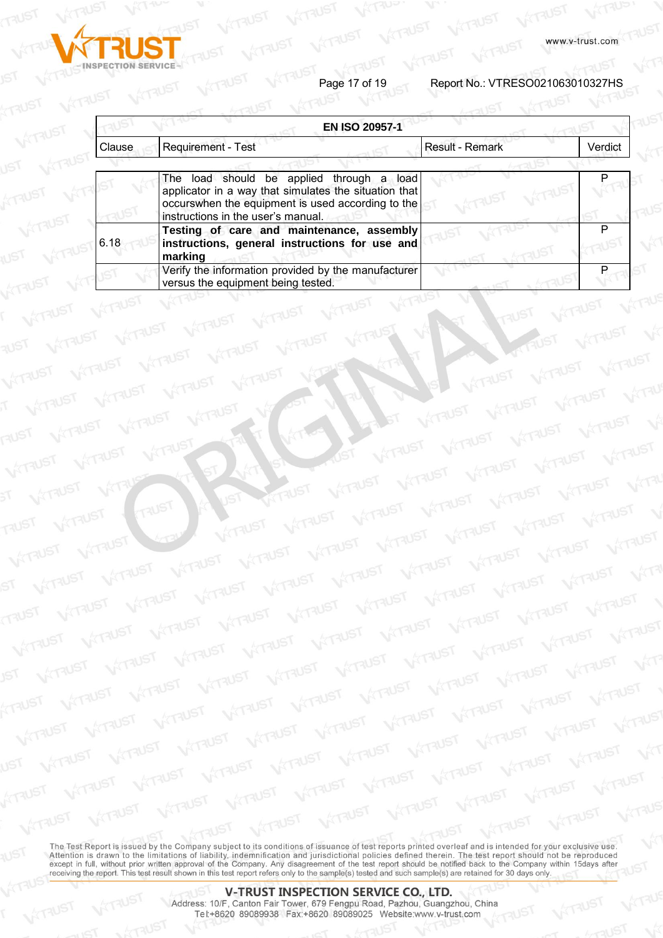

VITAUST

 $V^{177}$ 

VITAUS

**VATRUST** 

VITAUST

**TAUST** 

**VITAUST** 

Page 17 of 19<br>Report No.: VTRESO021063010327HS

|        | <b>EN ISO 20957-1</b>                                                                                                                                                                         |                        |         |
|--------|-----------------------------------------------------------------------------------------------------------------------------------------------------------------------------------------------|------------------------|---------|
| Clause | Requirement - Test                                                                                                                                                                            | <b>Result - Remark</b> | Verdict |
|        |                                                                                                                                                                                               |                        |         |
|        | The load should be applied through a load<br>applicator in a way that simulates the situation that<br>occurswhen the equipment is used according to the<br>instructions in the user's manual. |                        |         |
| 6.18   | Testing of care and maintenance, assembly<br>instructions, general instructions for use and<br>marking                                                                                        |                        |         |
|        | Verify the information provided by the manufacturer<br>versus the equipment being tested.                                                                                                     |                        |         |

VÝTRUST

**WITAUST WITAUST** 

**WITAUST** 

VITAUST

**WITAUST**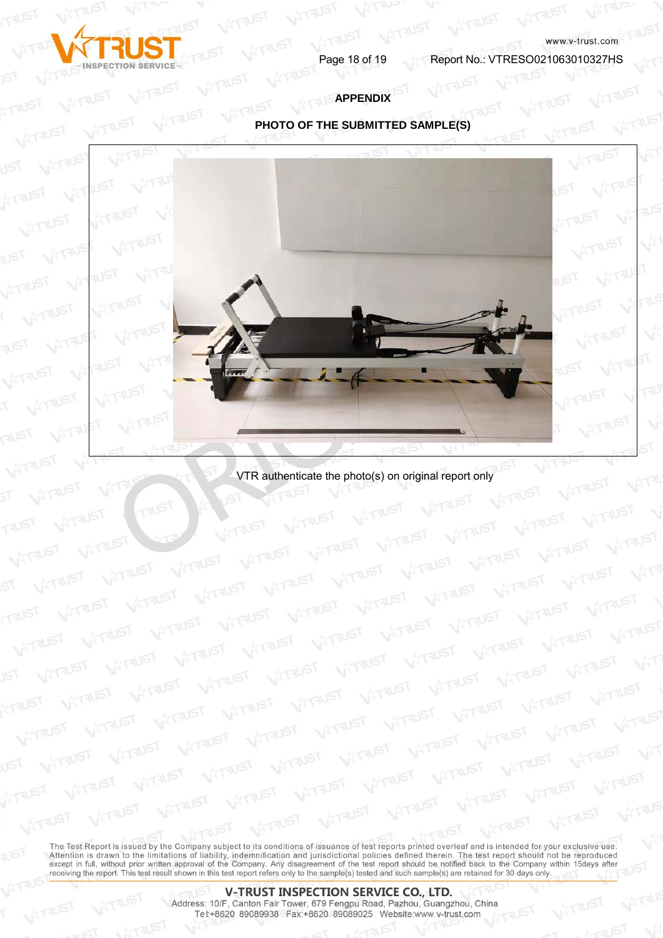

VITAUST

**VITAUS** 

www.v-trust.com<br>Page 18 of 19 Report No.: VTRESO021063010327HS

# **APPENDIX**

# **PHOTO OF THE SUBMITTED SAMPLE(S)**



VTR authenticate the photo(s) on original report only

VITAUST

**VITAUST** 

**WITAUST** 

**WITAUST** 

**VITAUST**